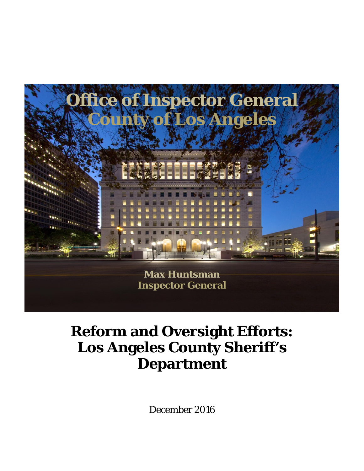

# **Reform and Oversight Efforts: Los Angeles County Sheriff's Department**

December 2016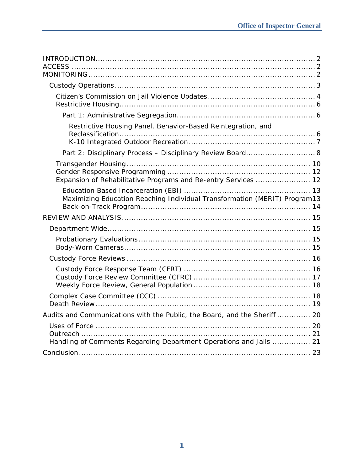| Restrictive Housing Panel, Behavior-Based Reintegration, and              |
|---------------------------------------------------------------------------|
| Part 2: Disciplinary Process - Disciplinary Review Board 8                |
| Expansion of Rehabilitative Programs and Re-entry Services  12            |
| Maximizing Education Reaching Individual Transformation (MERIT) Program13 |
|                                                                           |
|                                                                           |
|                                                                           |
|                                                                           |
|                                                                           |
|                                                                           |
| Audits and Communications with the Public, the Board, and the Sheriff  20 |
| Handling of Comments Regarding Department Operations and Jails  21        |
|                                                                           |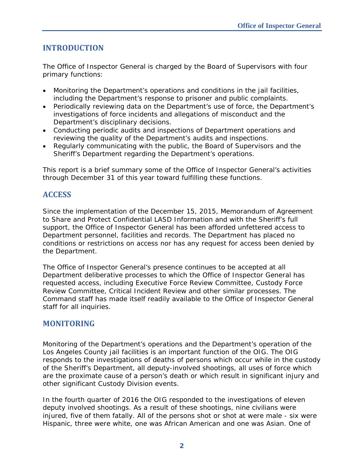## **INTRODUCTION**

The Office of Inspector General is charged by the Board of Supervisors with four primary functions:

- Monitoring the Department's operations and conditions in the jail facilities, including the Department's response to prisoner and public complaints.
- Periodically reviewing data on the Department's use of force, the Department's investigations of force incidents and allegations of misconduct and the Department's disciplinary decisions.
- Conducting periodic audits and inspections of Department operations and reviewing the quality of the Department's audits and inspections.
- Regularly communicating with the public, the Board of Supervisors and the Sheriff's Department regarding the Department's operations.

This report is a brief summary some of the Office of Inspector General's activities through December 31 of this year toward fulfilling these functions.

## **ACCESS**

Since the implementation of the December 15, 2015, Memorandum of Agreement to Share and Protect Confidential LASD Information and with the Sheriff's full support, the Office of Inspector General has been afforded unfettered access to Department personnel, facilities and records. The Department has placed no conditions or restrictions on access nor has any request for access been denied by the Department.

The Office of Inspector General's presence continues to be accepted at all Department deliberative processes to which the Office of Inspector General has requested access, including Executive Force Review Committee, Custody Force Review Committee, Critical Incident Review and other similar processes. The Command staff has made itself readily available to the Office of Inspector General staff for all inquiries.

## **MONITORING**

Monitoring of the Department's operations and the Department's operation of the Los Angeles County jail facilities is an important function of the OIG. The OIG responds to the investigations of deaths of persons which occur while in the custody of the Sheriff's Department, all deputy-involved shootings, all uses of force which are the proximate cause of a person's death or which result in significant injury and other significant Custody Division events.

In the fourth quarter of 2016 the OIG responded to the investigations of eleven deputy involved shootings. As a result of these shootings, nine civilians were injured, five of them fatally. All of the persons shot or shot at were male - six were Hispanic, three were white, one was African American and one was Asian. One of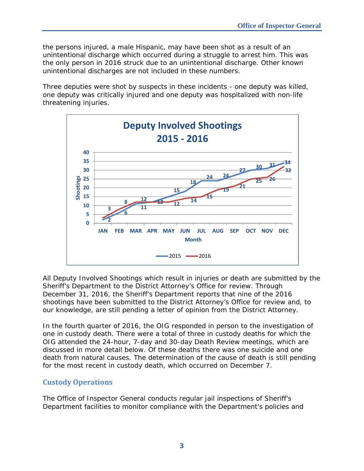the persons injured, a male Hispanic, may have been shot as a result of an unintentional discharge which occurred during a struggle to arrest him. This was the only person in 2016 struck due to an unintentional discharge. Other known unintentional discharges are not included in these numbers.

Three deputies were shot by suspects in these incidents - one deputy was killed, one deputy was critically injured and one deputy was hospitalized with non-life threatening injuries.



All Deputy Involved Shootings which result in injuries or death are submitted by the Sheriff's Department to the District Attorney's Office for review. Through December 31, 2016, the Sheriff's Department reports that nine of the 2016 shootings have been submitted to the District Attorney's Office for review and, to our knowledge, are still pending a letter of opinion from the District Attorney.

In the fourth quarter of 2016, the OIG responded in person to the investigation of one in custody death. There were a total of three in custody deaths for which the OIG attended the 24-hour, 7-day and 30-day Death Review meetings, which are discussed in more detail below. Of these deaths there was one suicide and one death from natural causes. The determination of the cause of death is still pending for the most recent in custody death, which occurred on December 7.

## **Custody Operations**

The Office of Inspector General conducts regular jail inspections of Sheriff's Department facilities to monitor compliance with the Department's policies and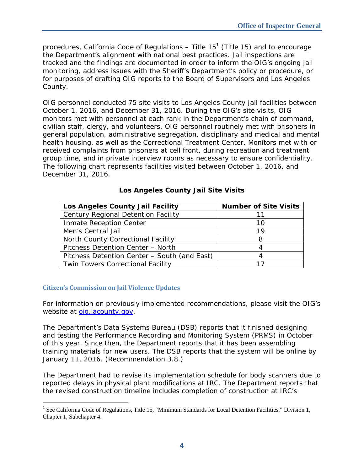procedures, California Code of Regulations – Title 15<sup>1</sup> (Title 15) and to encourage the Department's alignment with national best practices. Jail inspections are tracked and the findings are documented in order to inform the OIG's ongoing jail monitoring, address issues with the Sheriff's Department's policy or procedure, or for purposes of drafting OIG reports to the Board of Supervisors and Los Angeles County.

OIG personnel conducted 75 site visits to Los Angeles County jail facilities between October 1, 2016, and December 31, 2016. During the OIG's site visits, OIG monitors met with personnel at each rank in the Department's chain of command, civilian staff, clergy, and volunteers. OIG personnel routinely met with prisoners in general population, administrative segregation, disciplinary and medical and mental health housing, as well as the Correctional Treatment Center. Monitors met with or received complaints from prisoners at cell front, during recreation and treatment group time, and in private interview rooms as necessary to ensure confidentiality. The following chart represents facilities visited between October 1, 2016, and December 31, 2016.

| Los Angeles County Jail Facility             | <b>Number of Site Visits</b> |
|----------------------------------------------|------------------------------|
| Century Regional Detention Facility          |                              |
| Inmate Reception Center                      | 10                           |
| Men's Central Jail                           | 19                           |
| North County Correctional Facility           |                              |
| Pitchess Detention Center - North            |                              |
| Pitchess Detention Center - South (and East) |                              |
| <b>Twin Towers Correctional Facility</b>     |                              |

## **Los Angeles County Jail Site Visits**

## **Citizen's Commission on Jail Violence Updates**

j

For information on previously implemented recommendations, please visit the OIG's website at oig.lacounty.gov.

The Department's Data Systems Bureau (DSB) reports that it finished designing and testing the Performance Recording and Monitoring System (PRMS) in October of this year. Since then, the Department reports that it has been assembling training materials for new users. The DSB reports that the system will be online by January 11, 2016. (Recommendation 3.8.)

The Department had to revise its implementation schedule for body scanners due to reported delays in physical plant modifications at IRC. The Department reports that the revised construction timeline includes completion of construction at IRC's

<sup>&</sup>lt;sup>1</sup> See California Code of Regulations, Title 15, "Minimum Standards for Local Detention Facilities," Division 1, Chapter 1, Subchapter 4.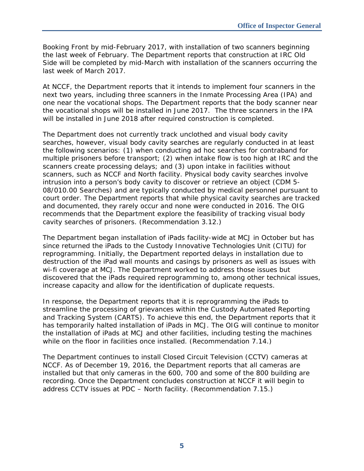Booking Front by mid-February 2017, with installation of two scanners beginning the last week of February. The Department reports that construction at IRC Old Side will be completed by mid-March with installation of the scanners occurring the last week of March 2017.

At NCCF, the Department reports that it intends to implement four scanners in the next two years, including three scanners in the Inmate Processing Area (IPA) and one near the vocational shops. The Department reports that the body scanner near the vocational shops will be installed in June 2017. The three scanners in the IPA will be installed in June 2018 after required construction is completed.

The Department does not currently track unclothed and visual body cavity searches, however, visual body cavity searches are regularly conducted in at least the following scenarios: (1) when conducting ad hoc searches for contraband for multiple prisoners before transport; (2) when intake flow is too high at IRC and the scanners create processing delays; and (3) upon intake in facilities without scanners, such as NCCF and North facility. Physical body cavity searches involve intrusion into a person's body cavity to discover or retrieve an object (CDM 5- 08/010.00 Searches) and are typically conducted by medical personnel pursuant to court order. The Department reports that while physical cavity searches are tracked and documented, they rarely occur and none were conducted in 2016. The OIG recommends that the Department explore the feasibility of tracking visual body cavity searches of prisoners. (Recommendation 3.12.)

The Department began installation of iPads facility-wide at MCJ in October but has since returned the iPads to the Custody Innovative Technologies Unit (CITU) for reprogramming. Initially, the Department reported delays in installation due to destruction of the iPad wall mounts and casings by prisoners as well as issues with wi-fi coverage at MCJ. The Department worked to address those issues but discovered that the iPads required reprogramming to, among other technical issues, increase capacity and allow for the identification of duplicate requests.

In response, the Department reports that it is reprogramming the iPads to streamline the processing of grievances within the Custody Automated Reporting and Tracking System (CARTS). To achieve this end, the Department reports that it has temporarily halted installation of iPads in MCJ. The OIG will continue to monitor the installation of iPads at MCJ and other facilities, including testing the machines while on the floor in facilities once installed. (Recommendation 7.14.)

The Department continues to install Closed Circuit Television (CCTV) cameras at NCCF. As of December 19, 2016, the Department reports that all cameras are installed but that only cameras in the 600, 700 and some of the 800 building are recording. Once the Department concludes construction at NCCF it will begin to address CCTV issues at PDC – North facility. (Recommendation 7.15.)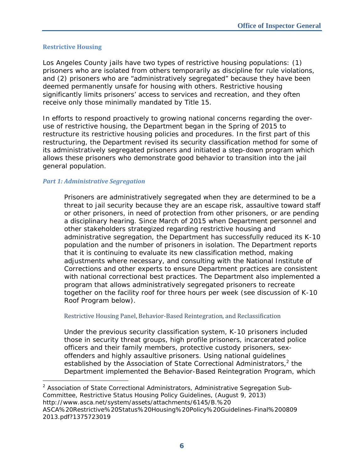## **Restrictive Housing**

Los Angeles County jails have two types of restrictive housing populations: (1) prisoners who are isolated from others temporarily as discipline for rule violations, and (2) prisoners who are "administratively segregated" because they have been deemed permanently unsafe for housing with others. Restrictive housing significantly limits prisoners' access to services and recreation, and they often receive only those minimally mandated by Title 15.

In efforts to respond proactively to growing national concerns regarding the overuse of restrictive housing, the Department began in the Spring of 2015 to restructure its restrictive housing policies and procedures. In the first part of this restructuring, the Department revised its security classification method for some of its administratively segregated prisoners and initiated a step-down program which allows these prisoners who demonstrate good behavior to transition into the jail general population.

## *Part 1: Administrative Segregation*

Prisoners are administratively segregated when they are determined to be a threat to jail security because they are an escape risk, assaultive toward staff or other prisoners, in need of protection from other prisoners, or are pending a disciplinary hearing. Since March of 2015 when Department personnel and other stakeholders strategized regarding restrictive housing and administrative segregation, the Department has successfully reduced its K-10 population and the number of prisoners in isolation. The Department reports that it is continuing to evaluate its new classification method, making adjustments where necessary, and consulting with the National Institute of Corrections and other experts to ensure Department practices are consistent with national correctional best practices. The Department also implemented a program that allows administratively segregated prisoners to recreate together on the facility roof for three hours per week (see discussion of K-10 Roof Program below).

## Restrictive Housing Panel, Behavior-Based Reintegration, and Reclassification

Under the previous security classification system, K-10 prisoners included those in security threat groups, high profile prisoners, incarcerated police officers and their family members, protective custody prisoners, sexoffenders and highly assaultive prisoners. Using national guidelines established by the Association of State Correctional Administrators, $2$  the Department implemented the Behavior-Based Reintegration Program, which

 $\overline{a}$ <sup>2</sup> Association of State Correctional Administrators, Administrative Segregation Sub-Committee, *Restrictive Status Housing Policy Guidelines*, (August 9, 2013) http://www.asca.net/system/assets/attachments/6145/B.%20 ASCA%20Restrictive%20Status%20Housing%20Policy%20Guidelines-Final%200809 2013.pdf?1375723019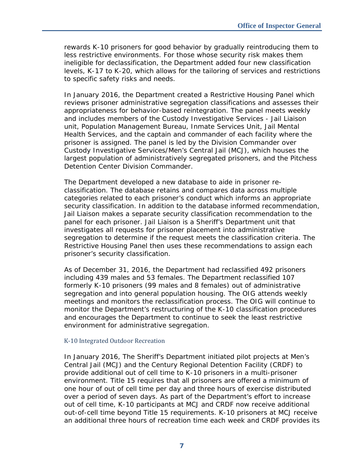rewards K-10 prisoners for good behavior by gradually reintroducing them to less restrictive environments. For those whose security risk makes them ineligible for declassification, the Department added four new classification levels, K-17 to K-20, which allows for the tailoring of services and restrictions to specific safety risks and needs.

In January 2016, the Department created a Restrictive Housing Panel which reviews prisoner administrative segregation classifications and assesses their appropriateness for behavior-based reintegration. The panel meets weekly and includes members of the Custody Investigative Services - Jail Liaison unit, Population Management Bureau, Inmate Services Unit, Jail Mental Health Services, and the captain and commander of each facility where the prisoner is assigned. The panel is led by the Division Commander over Custody Investigative Services/Men's Central Jail (MCJ), which houses the largest population of administratively segregated prisoners, and the Pitchess Detention Center Division Commander.

The Department developed a new database to aide in prisoner reclassification. The database retains and compares data across multiple categories related to each prisoner's conduct which informs an appropriate security classification. In addition to the database informed recommendation, Jail Liaison makes a separate security classification recommendation to the panel for each prisoner. Jail Liaison is a Sheriff's Department unit that investigates all requests for prisoner placement into administrative segregation to determine if the request meets the classification criteria. The Restrictive Housing Panel then uses these recommendations to assign each prisoner's security classification.

As of December 31, 2016, the Department had reclassified 492 prisoners including 439 males and 53 females. The Department reclassified 107 formerly K-10 prisoners (99 males and 8 females) out of administrative segregation and into general population housing. The OIG attends weekly meetings and monitors the reclassification process. The OIG will continue to monitor the Department's restructuring of the K-10 classification procedures and encourages the Department to continue to seek the least restrictive environment for administrative segregation.

#### K-10 Integrated Outdoor Recreation

In January 2016, The Sheriff's Department initiated pilot projects at Men's Central Jail (MCJ) and the Century Regional Detention Facility (CRDF) to provide additional out of cell time to K-10 prisoners in a multi-prisoner environment. Title 15 requires that all prisoners are offered a minimum of one hour of out of cell time per day and three hours of exercise distributed over a period of seven days. As part of the Department's effort to increase out of cell time, K-10 participants at MCJ and CRDF now receive additional out-of-cell time beyond Title 15 requirements. K-10 prisoners at MCJ receive an additional three hours of recreation time each week and CRDF provides its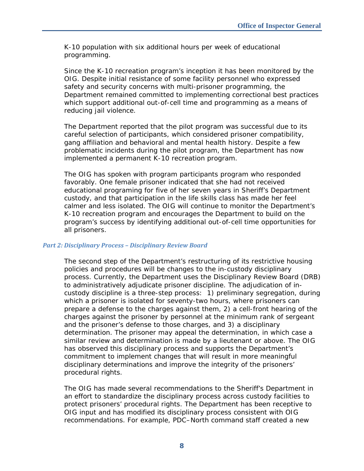K-10 population with six additional hours per week of educational programming.

Since the K-10 recreation program's inception it has been monitored by the OIG. Despite initial resistance of some facility personnel who expressed safety and security concerns with multi-prisoner programming, the Department remained committed to implementing correctional best practices which support additional out-of-cell time and programming as a means of reducing jail violence.

The Department reported that the pilot program was successful due to its careful selection of participants, which considered prisoner compatibility, gang affiliation and behavioral and mental health history. Despite a few problematic incidents during the pilot program, the Department has now implemented a permanent K-10 recreation program.

The OIG has spoken with program participants program who responded favorably. One female prisoner indicated that she had not received educational programing for five of her seven years in Sheriff's Department custody, and that participation in the life skills class has made her feel calmer and less isolated. The OIG will continue to monitor the Department's K-10 recreation program and encourages the Department to build on the program's success by identifying additional out-of-cell time opportunities for all prisoners.

#### *Part 2: Disciplinary Process – Disciplinary Review Board*

The second step of the Department's restructuring of its restrictive housing policies and procedures will be changes to the in-custody disciplinary process. Currently, the Department uses the Disciplinary Review Board (DRB) to administratively adjudicate prisoner discipline. The adjudication of incustody discipline is a three-step process: 1) preliminary segregation, during which a prisoner is isolated for seventy-two hours, where prisoners can prepare a defense to the charges against them, 2) a cell-front hearing of the charges against the prisoner by personnel at the minimum rank of sergeant and the prisoner's defense to those charges, and 3) a disciplinary determination. The prisoner may appeal the determination, in which case a similar review and determination is made by a lieutenant or above. The OIG has observed this disciplinary process and supports the Department's commitment to implement changes that will result in more meaningful disciplinary determinations and improve the integrity of the prisoners' procedural rights.

The OIG has made several recommendations to the Sheriff's Department in an effort to standardize the disciplinary process across custody facilities to protect prisoners' procedural rights. The Department has been receptive to OIG input and has modified its disciplinary process consistent with OIG recommendations. For example, PDC–North command staff created a new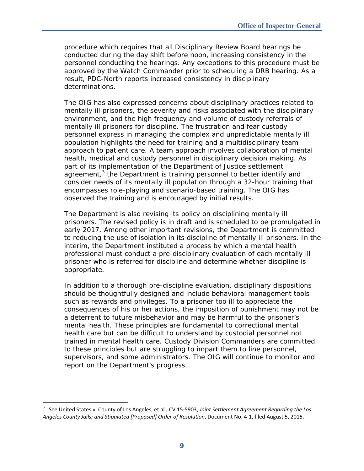procedure which requires that all Disciplinary Review Board hearings be conducted during the day shift before noon, increasing consistency in the personnel conducting the hearings. Any exceptions to this procedure must be approved by the Watch Commander prior to scheduling a DRB hearing. As a result, PDC-North reports increased consistency in disciplinary determinations.

The OIG has also expressed concerns about disciplinary practices related to mentally ill prisoners, the severity and risks associated with the disciplinary environment, and the high frequency and volume of custody referrals of mentally ill prisoners for discipline. The frustration and fear custody personnel express in managing the complex and unpredictable mentally ill population highlights the need for training and a multidisciplinary team approach to patient care. A team approach involves collaboration of mental health, medical and custody personnel in disciplinary decision making. As part of its implementation of the Department of Justice settlement agreement, $3$  the Department is training personnel to better identify and consider needs of its mentally ill population through a 32-hour training that encompasses role-playing and scenario-based training. The OIG has observed the training and is encouraged by initial results.

The Department is also revising its policy on disciplining mentally ill prisoners. The revised policy is in draft and is scheduled to be promulgated in early 2017. Among other important revisions, the Department is committed to reducing the use of isolation in its discipline of mentally ill prisoners. In the interim, the Department instituted a process by which a mental health professional must conduct a pre-disciplinary evaluation of each mentally ill prisoner who is referred for discipline and determine whether discipline is appropriate.

In addition to a thorough pre-discipline evaluation, disciplinary dispositions should be thoughtfully designed and include behavioral management tools such as rewards and privileges. To a prisoner too ill to appreciate the consequences of his or her actions, the imposition of punishment may not be a deterrent to future misbehavior and may be harmful to the prisoner's mental health. These principles are fundamental to correctional mental health care but can be difficult to understand by custodial personnel not trained in mental health care. Custody Division Commanders are committed to these principles but are struggling to impart them to line personnel, supervisors, and some administrators. The OIG will continue to monitor and report on the Department's progress.

-

<sup>3</sup> See United States v. County of Los Angeles, et al., CV 15‐5903, *Joint Settlement Agreement Regarding the Los Angeles County Jails; and Stipulated [Proposed] Order of Resolution*, Document No. 4‐1, filed August 5, 2015.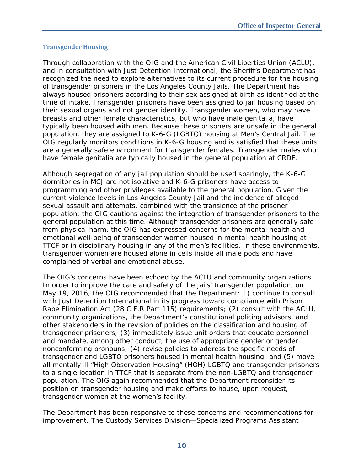## **Transgender Housing**

Through collaboration with the OIG and the American Civil Liberties Union (ACLU), and in consultation with Just Detention International, the Sheriff's Department has recognized the need to explore alternatives to its current procedure for the housing of transgender prisoners in the Los Angeles County Jails. The Department has always housed prisoners according to their sex assigned at birth as identified at the time of intake. Transgender prisoners have been assigned to jail housing based on their sexual organs and not gender identity. Transgender women, who may have breasts and other female characteristics, but who have male genitalia, have typically been housed with men. Because these prisoners are unsafe in the general population, they are assigned to K-6-G (LGBTQ) housing at Men's Central Jail. The OIG regularly monitors conditions in K-6-G housing and is satisfied that these units are a generally safe environment for transgender females. Transgender males who have female genitalia are typically housed in the general population at CRDF.

Although segregation of any jail population should be used sparingly, the K-6-G dormitories in MCJ are not isolative and K-6-G prisoners have access to programming and other privileges available to the general population. Given the current violence levels in Los Angeles County Jail and the incidence of alleged sexual assault and attempts, combined with the transience of the prisoner population, the OIG cautions against the integration of transgender prisoners to the general population at this time. Although transgender prisoners are generally safe from physical harm, the OIG has expressed concerns for the mental health and emotional well-being of transgender women housed in mental health housing at TTCF or in disciplinary housing in any of the men's facilities. In these environments, transgender women are housed alone in cells inside all male pods and have complained of verbal and emotional abuse.

The OIG's concerns have been echoed by the ACLU and community organizations. In order to improve the care and safety of the jails' transgender population, on May 19, 2016, the OIG recommended that the Department: 1) continue to consult with Just Detention International in its progress toward compliance with Prison Rape Elimination Act (28 C.F.R Part 115) requirements; (2) consult with the ACLU, community organizations, the Department's constitutional policing advisors, and other stakeholders in the revision of policies on the classification and housing of transgender prisoners; (3) immediately issue unit orders that educate personnel and mandate, among other conduct, the use of appropriate gender or gender nonconforming pronouns; (4) revise policies to address the specific needs of transgender and LGBTQ prisoners housed in mental health housing; and (5) move all mentally ill "High Observation Housing" (HOH) LGBTQ and transgender prisoners to a single location in TTCF that is separate from the non-LGBTQ and transgender population. The OIG again recommended that the Department reconsider its position on transgender housing and make efforts to house, upon request, transgender women at the women's facility.

The Department has been responsive to these concerns and recommendations for improvement. The Custody Services Division—Specialized Programs Assistant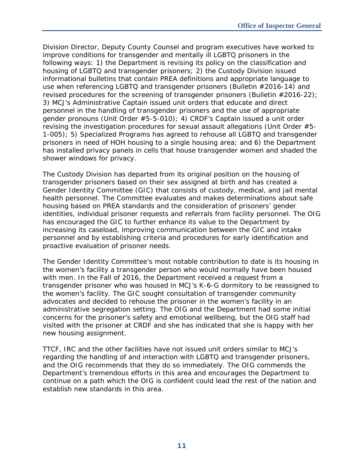Division Director, Deputy County Counsel and program executives have worked to improve conditions for transgender and mentally ill LGBTQ prisoners in the following ways: 1) the Department is revising its policy on the classification and housing of LGBTQ and transgender prisoners; 2) the Custody Division issued informational bulletins that contain PREA definitions and appropriate language to use when referencing LGBTQ and transgender prisoners (Bulletin #2016-14) and revised procedures for the screening of transgender prisoners (Bulletin #2016-22); 3) MCJ's Administrative Captain issued unit orders that educate and direct personnel in the handling of transgender prisoners and the use of appropriate gender pronouns (Unit Order #5-5-010); 4) CRDF's Captain issued a unit order revising the investigation procedures for sexual assault allegations (Unit Order #5- 1-005); 5) Specialized Programs has agreed to rehouse all LGBTQ and transgender prisoners in need of HOH housing to a single housing area; and 6) the Department has installed privacy panels in cells that house transgender women and shaded the shower windows for privacy.

The Custody Division has departed from its original position on the housing of transgender prisoners based on their sex assigned at birth and has created a Gender Identity Committee (GIC) that consists of custody, medical, and jail mental health personnel. The Committee evaluates and makes determinations about safe housing based on PREA standards and the consideration of prisoners' gender identities, individual prisoner requests and referrals from facility personnel. The OIG has encouraged the GIC to further enhance its value to the Department by increasing its caseload, improving communication between the GIC and intake personnel and by establishing criteria and procedures for early identification and proactive evaluation of prisoner needs.

The Gender Identity Committee's most notable contribution to date is its housing in the women's facility a transgender person who would normally have been housed with men. In the Fall of 2016, the Department received a request from a transgender prisoner who was housed in MCJ's K-6-G dormitory to be reassigned to the women's facility. The GIC sought consultation of transgender community advocates and decided to rehouse the prisoner in the women's facility in an administrative segregation setting. The OIG and the Department had some initial concerns for the prisoner's safety and emotional wellbeing, but the OIG staff had visited with the prisoner at CRDF and she has indicated that she is happy with her new housing assignment.

TTCF, IRC and the other facilities have not issued unit orders similar to MCJ's regarding the handling of and interaction with LGBTQ and transgender prisoners, and the OIG recommends that they do so immediately. The OIG commends the Department's tremendous efforts in this area and encourages the Department to continue on a path which the OIG is confident could lead the rest of the nation and establish new standards in this area.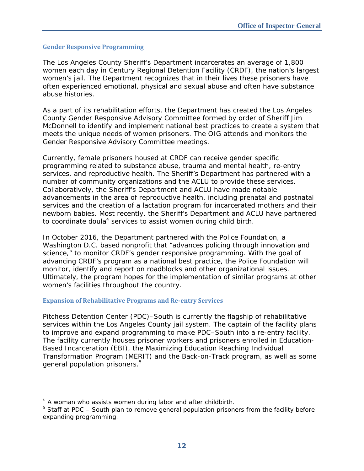#### **Gender Responsive Programming**

The Los Angeles County Sheriff's Department incarcerates an average of 1,800 women each day in Century Regional Detention Facility (CRDF), the nation's largest women's jail. The Department recognizes that in their lives these prisoners have often experienced emotional, physical and sexual abuse and often have substance abuse histories.

As a part of its rehabilitation efforts, the Department has created the Los Angeles County Gender Responsive Advisory Committee formed by order of Sheriff Jim McDonnell to identify and implement national best practices to create a system that meets the unique needs of women prisoners. The OIG attends and monitors the Gender Responsive Advisory Committee meetings.

Currently, female prisoners housed at CRDF can receive gender specific programming related to substance abuse, trauma and mental health, re-entry services, and reproductive health. The Sheriff's Department has partnered with a number of community organizations and the ACLU to provide these services. Collaboratively, the Sheriff's Department and ACLU have made notable advancements in the area of reproductive health, including prenatal and postnatal services and the creation of a lactation program for incarcerated mothers and their newborn babies. Most recently, the Sheriff's Department and ACLU have partnered to coordinate doula<sup>4</sup> services to assist women during child birth.

In October 2016, the Department partnered with the Police Foundation, a Washington D.C. based nonprofit that "advances policing through innovation and science," to monitor CRDF's gender responsive programming. With the goal of advancing CRDF's program as a national best practice, the Police Foundation will monitor, identify and report on roadblocks and other organizational issues. Ultimately, the program hopes for the implementation of similar programs at other women's facilities throughout the country.

#### **Expansion of Rehabilitative Programs and Re‐entry Services**

Pitchess Detention Center (PDC)–South is currently the flagship of rehabilitative services within the Los Angeles County jail system. The captain of the facility plans to improve and expand programming to make PDC–South into a re-entry facility. The facility currently houses prisoner workers and prisoners enrolled in Education-Based Incarceration (EBI), the Maximizing Education Reaching Individual Transformation Program (MERIT) and the Back-on-Track program, as well as some general population prisoners.<sup>5</sup>

-

<sup>&</sup>lt;sup>4</sup> A woman who assists women during labor and after childbirth.

<sup>&</sup>lt;sup>5</sup> Staff at PDC – South plan to remove general population prisoners from the facility before expanding programming.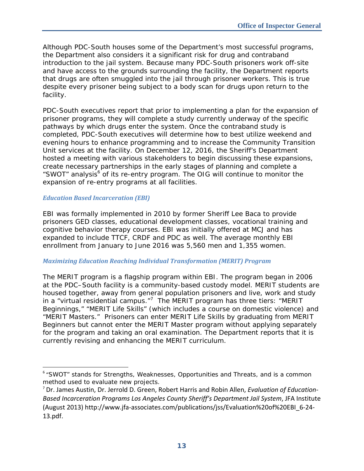Although PDC-South houses some of the Department's most successful programs, the Department also considers it a significant risk for drug and contraband introduction to the jail system. Because many PDC-South prisoners work off-site and have access to the grounds surrounding the facility, the Department reports that drugs are often smuggled into the jail through prisoner workers. This is true despite every prisoner being subject to a body scan for drugs upon return to the facility.

PDC-South executives report that prior to implementing a plan for the expansion of prisoner programs, they will complete a study currently underway of the specific pathways by which drugs enter the system. Once the contraband study is completed, PDC-South executives will determine how to best utilize weekend and evening hours to enhance programming and to increase the Community Transition Unit services at the facility. On December 12, 2016, the Sheriff's Department hosted a meeting with various stakeholders to begin discussing these expansions, create necessary partnerships in the early stages of planning and complete a "SWOT" analysis<sup>6</sup> of its re-entry program. The OIG will continue to monitor the expansion of re-entry programs at all facilities.

## *Education Based Incarceration (EBI)*

EBI was formally implemented in 2010 by former Sheriff Lee Baca to provide prisoners GED classes, educational development classes, vocational training and cognitive behavior therapy courses. EBI was initially offered at MCJ and has expanded to include TTCF, CRDF and PDC as well. The average monthly EBI enrollment from January to June 2016 was 5,560 men and 1,355 women.

## *Maximizing Education Reaching Individual Transformation (MERIT) Program*

The MERIT program is a flagship program within EBI. The program began in 2006 at the PDC–South facility is a community-based custody model. MERIT students are housed together, away from general population prisoners and live, work and study in a "virtual residential campus."<sup>7</sup> The MERIT program has three tiers: "MERIT Beginnings," "MERIT Life Skills" (which includes a course on domestic violence) and "MERIT Masters." Prisoners can enter MERIT Life Skills by graduating from MERIT Beginners but cannot enter the MERIT Master program without applying separately for the program and taking an oral examination. The Department reports that it is currently revising and enhancing the MERIT curriculum.

j <sup>6</sup> "SWOT" stands for Strengths, Weaknesses, Opportunities and Threats, and is a common method used to evaluate new projects.

<sup>7</sup> Dr. James Austin, Dr. Jerrold D. Green, Robert Harris and Robin Allen, *Evaluation of Education‐ Based Incarceration Programs Los Angeles County Sheriff's Department Jail System*, JFA Institute (August 2013) http://www.jfa‐associates.com/publications/jss/Evaluation%20of%20EBI\_6‐24‐ 13.pdf.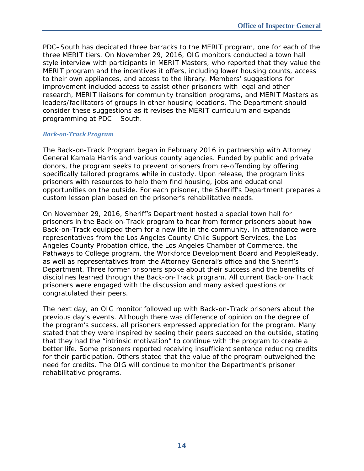PDC–South has dedicated three barracks to the MERIT program, one for each of the three MERIT tiers. On November 29, 2016, OIG monitors conducted a town hall style interview with participants in MERIT Masters, who reported that they value the MERIT program and the incentives it offers, including lower housing counts, access to their own appliances, and access to the library. Members' suggestions for improvement included access to assist other prisoners with legal and other research, MERIT liaisons for community transition programs, and MERIT Masters as leaders/facilitators of groups in other housing locations. The Department should consider these suggestions as it revises the MERIT curriculum and expands programming at PDC – South.

## *Back‐on‐Track Program*

The Back-on-Track Program began in February 2016 in partnership with Attorney General Kamala Harris and various county agencies. Funded by public and private donors, the program seeks to prevent prisoners from re-offending by offering specifically tailored programs while in custody. Upon release, the program links prisoners with resources to help them find housing, jobs and educational opportunities on the outside. For each prisoner, the Sheriff's Department prepares a custom lesson plan based on the prisoner's rehabilitative needs.

On November 29, 2016, Sheriff's Department hosted a special town hall for prisoners in the Back-on-Track program to hear from former prisoners about how Back-on-Track equipped them for a new life in the community. In attendance were representatives from the Los Angeles County Child Support Services, the Los Angeles County Probation office, the Los Angeles Chamber of Commerce, the Pathways to College program, the Workforce Development Board and PeopleReady, as well as representatives from the Attorney General's office and the Sheriff's Department. Three former prisoners spoke about their success and the benefits of disciplines learned through the Back-on-Track program. All current Back-on-Track prisoners were engaged with the discussion and many asked questions or congratulated their peers.

The next day, an OIG monitor followed up with Back-on-Track prisoners about the previous day's events. Although there was difference of opinion on the degree of the program's success, all prisoners expressed appreciation for the program. Many stated that they were inspired by seeing their peers succeed on the outside, stating that they had the "intrinsic motivation" to continue with the program to create a better life. Some prisoners reported receiving insufficient sentence reducing credits for their participation. Others stated that the value of the program outweighed the need for credits. The OIG will continue to monitor the Department's prisoner rehabilitative programs.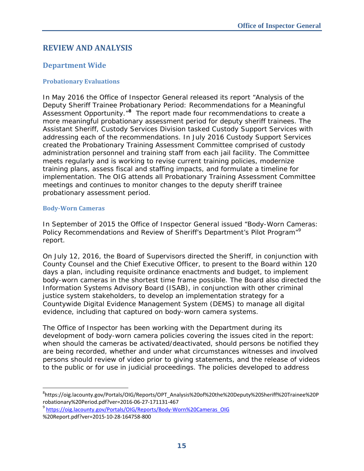## **REVIEW AND ANALYSIS**

## **Department Wide**

## **Probationary Evaluations**

In May 2016 the Office of Inspector General released its report "Analysis of the Deputy Sheriff Trainee Probationary Period: Recommendations for a Meaningful Assessment Opportunity.<sup>"8</sup> The report made four recommendations to create a more meaningful probationary assessment period for deputy sheriff trainees. The Assistant Sheriff, Custody Services Division tasked Custody Support Services with addressing each of the recommendations. In July 2016 Custody Support Services created the Probationary Training Assessment Committee comprised of custody administration personnel and training staff from each jail facility. The Committee meets regularly and is working to revise current training policies, modernize training plans, assess fiscal and staffing impacts, and formulate a timeline for implementation. The OIG attends all Probationary Training Assessment Committee meetings and continues to monitor changes to the deputy sheriff trainee probationary assessment period.

#### **Body‐Worn Cameras**

 $\overline{a}$ 

In September of 2015 the Office of Inspector General issued "Body-Worn Cameras: Policy Recommendations and Review of Sheriff's Department's Pilot Program"<sup>9</sup> report.

On July 12, 2016, the Board of Supervisors directed the Sheriff, in conjunction with County Counsel and the Chief Executive Officer, to present to the Board within 120 days a plan, including requisite ordinance enactments and budget, to implement body-worn cameras in the shortest time frame possible. The Board also directed the Information Systems Advisory Board (ISAB), in conjunction with other criminal justice system stakeholders, to develop an implementation strategy for a Countywide Digital Evidence Management System (DEMS) to manage all digital evidence, including that captured on body-worn camera systems.

The Office of Inspector has been working with the Department during its development of body-worn camera policies covering the issues cited in the report: when should the cameras be activated/deactivated, should persons be notified they are being recorded, whether and under what circumstances witnesses and involved persons should review of video prior to giving statements, and the release of videos to the public or for use in judicial proceedings. The policies developed to address

<sup>8</sup> https://oig.lacounty.gov/Portals/OIG/Reports/OPT\_Analysis%20of%20the%20Deputy%20Sheriff%20Trainee%20P robationary%20Period.pdf?ver=2016-06-27-171131-467<br><sup>9</sup> https://oig.lacounty.gov/Portals/OIG/Reports/Body-Worn%20Cameras\_OIG

<sup>%20</sup>Report.pdf?ver=2015‐10‐28‐164758‐800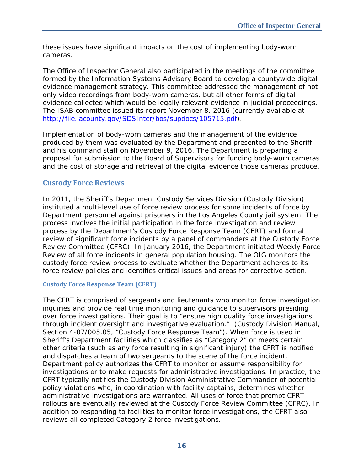these issues have significant impacts on the cost of implementing body-worn cameras.

The Office of Inspector General also participated in the meetings of the committee formed by the Information Systems Advisory Board to develop a countywide digital evidence management strategy. This committee addressed the management of not only video recordings from body-worn cameras, but all other forms of digital evidence collected which would be legally relevant evidence in judicial proceedings. The ISAB committee issued its report November 8, 2016 (currently available at http://file.lacounty.gov/SDSInter/bos/supdocs/105715.pdf).

Implementation of body-worn cameras and the management of the evidence produced by them was evaluated by the Department and presented to the Sheriff and his command staff on November 9, 2016. The Department is preparing a proposal for submission to the Board of Supervisors for funding body-worn cameras and the cost of storage and retrieval of the digital evidence those cameras produce.

## **Custody Force Reviews**

In 2011, the Sheriff's Department Custody Services Division (Custody Division) instituted a multi-level use of force review process for some incidents of force by Department personnel against prisoners in the Los Angeles County jail system. The process involves the initial participation in the force investigation and review process by the Department's Custody Force Response Team (CFRT) and formal review of significant force incidents by a panel of commanders at the Custody Force Review Committee (CFRC). In January 2016, the Department initiated Weekly Force Review of all force incidents in general population housing. The OIG monitors the custody force review process to evaluate whether the Department adheres to its force review policies and identifies critical issues and areas for corrective action.

## **Custody Force Response Team (CFRT)**

The CFRT is comprised of sergeants and lieutenants who monitor force investigation inquiries and provide real time monitoring and guidance to supervisors presiding over force investigations. Their goal is to "ensure high quality force investigations through incident oversight and investigative evaluation." (Custody Division Manual, Section 4-07/005.05, "Custody Force Response Team"). When force is used in Sheriff's Department facilities which classifies as "Category 2" or meets certain other criteria (such as any force resulting in significant injury) the CFRT is notified and dispatches a team of two sergeants to the scene of the force incident. Department policy authorizes the CFRT to monitor or assume responsibility for investigations or to make requests for administrative investigations. In practice, the CFRT typically notifies the Custody Division Administrative Commander of potential policy violations who, in coordination with facility captains, determines whether administrative investigations are warranted. All uses of force that prompt CFRT rollouts are eventually reviewed at the Custody Force Review Committee (CFRC). In addition to responding to facilities to monitor force investigations, the CFRT also reviews all completed Category 2 force investigations.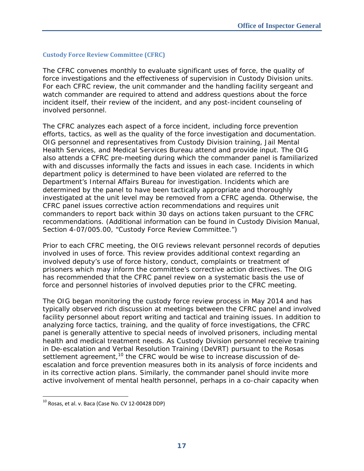## **Custody Force Review Committee (CFRC)**

The CFRC convenes monthly to evaluate significant uses of force, the quality of force investigations and the effectiveness of supervision in Custody Division units. For each CFRC review, the unit commander and the handling facility sergeant and watch commander are required to attend and address questions about the force incident itself, their review of the incident, and any post-incident counseling of involved personnel.

The CFRC analyzes each aspect of a force incident, including force prevention efforts, tactics, as well as the quality of the force investigation and documentation. OIG personnel and representatives from Custody Division training, Jail Mental Health Services, and Medical Services Bureau attend and provide input. The OIG also attends a CFRC pre-meeting during which the commander panel is familiarized with and discusses informally the facts and issues in each case. Incidents in which department policy is determined to have been violated are referred to the Department's Internal Affairs Bureau for investigation. Incidents which are determined by the panel to have been tactically appropriate and thoroughly investigated at the unit level may be removed from a CFRC agenda. Otherwise, the CFRC panel issues corrective action recommendations and requires unit commanders to report back within 30 days on actions taken pursuant to the CFRC recommendations. (Additional information can be found in Custody Division Manual, Section 4-07/005.00, "Custody Force Review Committee.")

Prior to each CFRC meeting, the OIG reviews relevant personnel records of deputies involved in uses of force. This review provides additional context regarding an involved deputy's use of force history, conduct, complaints or treatment of prisoners which may inform the committee's corrective action directives. The OIG has recommended that the CFRC panel review on a systematic basis the use of force and personnel histories of involved deputies prior to the CFRC meeting.

The OIG began monitoring the custody force review process in May 2014 and has typically observed rich discussion at meetings between the CFRC panel and involved facility personnel about report writing and tactical and training issues. In addition to analyzing force tactics, training, and the quality of force investigations, the CFRC panel is generally attentive to special needs of involved prisoners, including mental health and medical treatment needs. As Custody Division personnel receive training in De-escalation and Verbal Resolution Training (DeVRT) pursuant to the *Rosas* settlement agreement,<sup>10</sup> the CFRC would be wise to increase discussion of deescalation and force prevention measures both in its analysis of force incidents and in its corrective action plans. Similarly, the commander panel should invite more active involvement of mental health personnel, perhaps in a co-chair capacity when

j

 $^{10}$  Rosas, et al. v. Baca (Case No. CV 12-00428 DDP)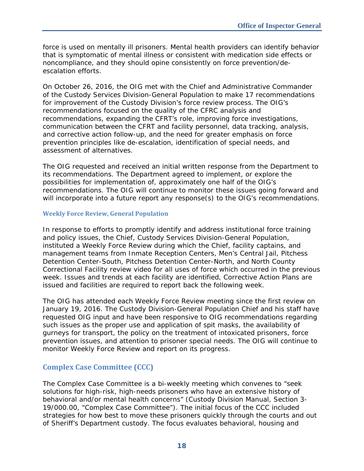force is used on mentally ill prisoners. Mental health providers can identify behavior that is symptomatic of mental illness or consistent with medication side effects or noncompliance, and they should opine consistently on force prevention/deescalation efforts.

On October 26, 2016, the OIG met with the Chief and Administrative Commander of the Custody Services Division-General Population to make 17 recommendations for improvement of the Custody Division's force review process. The OIG's recommendations focused on the quality of the CFRC analysis and recommendations, expanding the CFRT's role, improving force investigations, communication between the CFRT and facility personnel, data tracking, analysis, and corrective action follow-up, and the need for greater emphasis on force prevention principles like de-escalation, identification of special needs, and assessment of alternatives.

The OIG requested and received an initial written response from the Department to its recommendations. The Department agreed to implement, or explore the possibilities for implementation of, approximately one half of the OIG's recommendations. The OIG will continue to monitor these issues going forward and will incorporate into a future report any response(s) to the OIG's recommendations.

#### **Weekly Force Review, General Population**

In response to efforts to promptly identify and address institutional force training and policy issues, the Chief, Custody Services Division-General Population, instituted a Weekly Force Review during which the Chief, facility captains, and management teams from Inmate Reception Centers, Men's Central Jail, Pitchess Detention Center-South, Pitchess Detention Center-North, and North County Correctional Facility review video for all uses of force which occurred in the previous week. Issues and trends at each facility are identified, Corrective Action Plans are issued and facilities are required to report back the following week.

The OIG has attended each Weekly Force Review meeting since the first review on January 19, 2016. The Custody Division-General Population Chief and his staff have requested OIG input and have been responsive to OIG recommendations regarding such issues as the proper use and application of spit masks, the availability of gurneys for transport, the policy on the treatment of intoxicated prisoners, force prevention issues, and attention to prisoner special needs. The OIG will continue to monitor Weekly Force Review and report on its progress.

## **Complex Case Committee (CCC)**

The Complex Case Committee is a bi-weekly meeting which convenes to "seek solutions for high-risk, high-needs prisoners who have an extensive history of behavioral and/or mental health concerns" (Custody Division Manual, Section 3- 19/000.00, "Complex Case Committee"). The initial focus of the CCC included strategies for how best to move these prisoners quickly through the courts and out of Sheriff's Department custody. The focus evaluates behavioral, housing and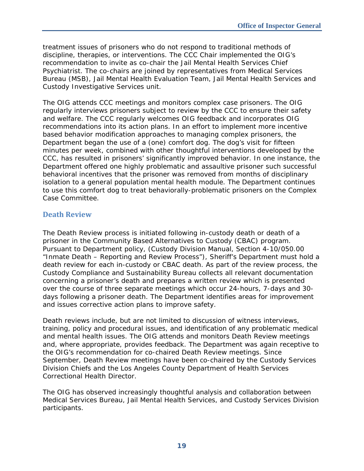treatment issues of prisoners who do not respond to traditional methods of discipline, therapies, or interventions. The CCC Chair implemented the OIG's recommendation to invite as co-chair the Jail Mental Health Services Chief Psychiatrist. The co-chairs are joined by representatives from Medical Services Bureau (MSB), Jail Mental Health Evaluation Team, Jail Mental Health Services and Custody Investigative Services unit.

The OIG attends CCC meetings and monitors complex case prisoners. The OIG regularly interviews prisoners subject to review by the CCC to ensure their safety and welfare. The CCC regularly welcomes OIG feedback and incorporates OIG recommendations into its action plans. In an effort to implement more incentive based behavior modification approaches to managing complex prisoners, the Department began the use of a (one) comfort dog. The dog's visit for fifteen minutes per week, combined with other thoughtful interventions developed by the CCC, has resulted in prisoners' significantly improved behavior. In one instance, the Department offered one highly problematic and assaultive prisoner such successful behavioral incentives that the prisoner was removed from months of disciplinary isolation to a general population mental health module. The Department continues to use this comfort dog to treat behaviorally-problematic prisoners on the Complex Case Committee.

## **Death Review**

The Death Review process is initiated following in-custody death or death of a prisoner in the Community Based Alternatives to Custody (CBAC) program. Pursuant to Department policy, (Custody Division Manual, Section 4-10/050.00 "Inmate Death – Reporting and Review Process"), Sheriff's Department must hold a death review for each in-custody or CBAC death. As part of the review process, the Custody Compliance and Sustainability Bureau collects all relevant documentation concerning a prisoner's death and prepares a written review which is presented over the course of three separate meetings which occur 24-hours, 7-days and 30 days following a prisoner death. The Department identifies areas for improvement and issues corrective action plans to improve safety.

Death reviews include, but are not limited to discussion of witness interviews, training, policy and procedural issues, and identification of any problematic medical and mental health issues. The OIG attends and monitors Death Review meetings and, where appropriate, provides feedback. The Department was again receptive to the OIG's recommendation for co-chaired Death Review meetings. Since September, Death Review meetings have been co-chaired by the Custody Services Division Chiefs and the Los Angeles County Department of Health Services Correctional Health Director.

The OIG has observed increasingly thoughtful analysis and collaboration between Medical Services Bureau, Jail Mental Health Services, and Custody Services Division participants.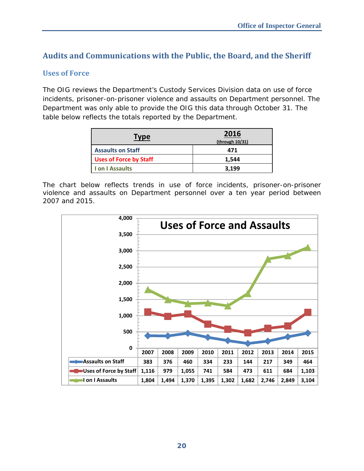# **Audits and Communications with the Public, the Board, and the Sheriff**

## **Uses of Force**

The OIG reviews the Department's Custody Services Division data on use of force incidents, prisoner-on-prisoner violence and assaults on Department personnel. The Department was only able to provide the OIG this data through October 31. The table below reflects the totals reported by the Department.

| <b>Type</b>                   | 2016<br>(through 10/31) |
|-------------------------------|-------------------------|
| <b>Assaults on Staff</b>      | 471                     |
| <b>Uses of Force by Staff</b> | 1,544                   |
| I on I Assaults               | 3,199                   |

The chart below reflects trends in use of force incidents, prisoner-on-prisoner violence and assaults on Department personnel over a ten year period between 2007 and 2015.

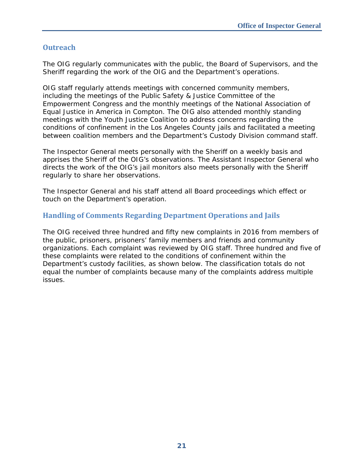## **Outreach**

The OIG regularly communicates with the public, the Board of Supervisors, and the Sheriff regarding the work of the OIG and the Department's operations.

OIG staff regularly attends meetings with concerned community members, including the meetings of the Public Safety & Justice Committee of the Empowerment Congress and the monthly meetings of the National Association of Equal Justice in America in Compton. The OIG also attended monthly standing meetings with the Youth Justice Coalition to address concerns regarding the conditions of confinement in the Los Angeles County jails and facilitated a meeting between coalition members and the Department's Custody Division command staff.

The Inspector General meets personally with the Sheriff on a weekly basis and apprises the Sheriff of the OIG's observations. The Assistant Inspector General who directs the work of the OIG's jail monitors also meets personally with the Sheriff regularly to share her observations.

The Inspector General and his staff attend all Board proceedings which effect or touch on the Department's operation.

## **Handling of Comments Regarding Department Operations and Jails**

The OIG received three hundred and fifty new complaints in 2016 from members of the public, prisoners, prisoners' family members and friends and community organizations. Each complaint was reviewed by OIG staff. Three hundred and five of these complaints were related to the conditions of confinement within the Department's custody facilities, as shown below. The classification totals do not equal the number of complaints because many of the complaints address multiple issues.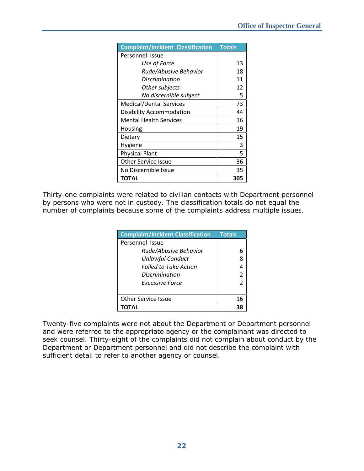| <b>Complaint/Incident Classification</b> | <b>Totals</b> |
|------------------------------------------|---------------|
| Personnel Issue                          |               |
| Use of Force                             | 13            |
| Rude/Abusive Behavior                    | 18            |
| Discrimination                           | 11            |
| Other subjects                           | 12            |
| No discernible subject                   | 5             |
| <b>Medical/Dental Services</b>           | 73            |
| <b>Disability Accommodation</b>          | 44            |
| <b>Mental Health Services</b>            | 16            |
| Housing                                  | 19            |
| Dietary                                  | 15            |
| Hygiene                                  | 3             |
| <b>Physical Plant</b>                    | 5             |
| <b>Other Service Issue</b>               | 36            |
| No Discernible Issue                     | 35            |
| ΤΟΤΑL                                    | 305           |

Thirty-one complaints were related to civilian contacts with Department personnel by persons who were not in custody. The classification totals do not equal the number of complaints because some of the complaints address multiple issues.

| <b>Complaint/Incident Classification</b> | <b>Totals</b>  |
|------------------------------------------|----------------|
| Personnel Issue                          |                |
| Rude/Abusive Behavior                    |                |
| <b>Unlawful Conduct</b>                  | 8              |
| <b>Failed to Take Action</b>             |                |
| Discrimination                           | $\mathfrak{p}$ |
| <b>Excessive Force</b>                   | 2              |
|                                          |                |
| <b>Other Service Issue</b>               | 16             |
|                                          |                |

Twenty-five complaints were not about the Department or Department personnel and were referred to the appropriate agency or the complainant was directed to seek counsel. Thirty-eight of the complaints did not complain about conduct by the Department or Department personnel and did not describe the complaint with sufficient detail to refer to another agency or counsel.